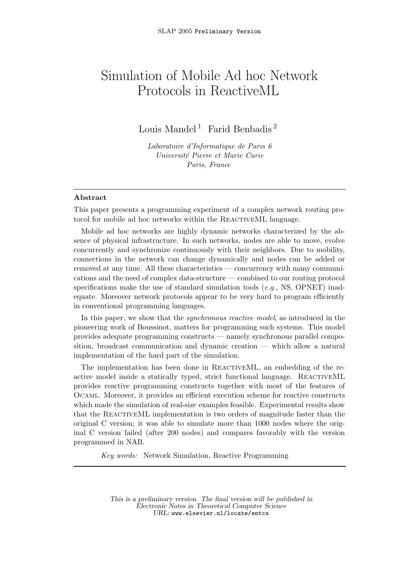# Simulation of Mobile Ad hoc Network Protocols in ReactiveML

Louis Mandel<sup>1</sup> Farid Benbadis<sup>2</sup>

Laboratoire d'Informatique de Paris 6 Universit´e Pierre et Marie Curie Paris, France

#### Abstract

This paper presents a programming experiment of a complex network routing protocol for mobile ad hoc networks within the REACTIVEML language.

Mobile ad hoc networks are highly dynamic networks characterized by the absence of physical infrastructure. In such networks, nodes are able to move, evolve concurrently and synchronize continuously with their neighbors. Due to mobility, connections in the network can change dynamically and nodes can be added or removed at any time. All these characteristics — concurrency with many communications and the need of complex data-structure — combined to our routing protocol specifications make the use of standard simulation tools (e.g., NS, OPNET) inadequate. Moreover network protocols appear to be very hard to program efficiently in conventional programming languages.

In this paper, we show that the *synchronous reactive model*, as introduced in the pioneering work of Boussinot, matters for programming such systems. This model provides adequate programming constructs — namely synchronous parallel composition, broadcast communication and dynamic creation — which allow a natural implementation of the hard part of the simulation.

The implementation has been done in ReactiveML, an embedding of the reactive model inside a statically typed, strict functional language. REACTIVEML provides reactive programming constructs together with most of the features of Ocaml. Moreover, it provides an efficient execution scheme for reactive constructs which made the simulation of real-size examples feasible. Experimental results show that the ReactiveML implementation is two orders of magnitude faster than the original C version; it was able to simulate more than 1000 nodes where the original C version failed (after 200 nodes) and compares favorably with the version programmed in NAB.

Key words: Network Simulation, Reactive Programming

This is a preliminary version. The final version will be published in Electronic Notes in Theoretical Computer Science URL: www.elsevier.nl/locate/entcs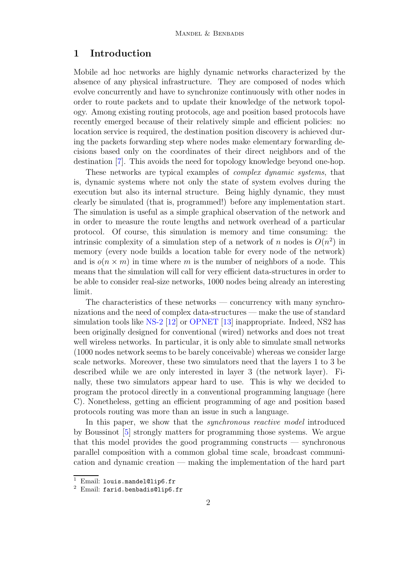# 1 Introduction

Mobile ad hoc networks are highly dynamic networks characterized by the absence of any physical infrastructure. They are composed of nodes which evolve concurrently and have to synchronize continuously with other nodes in order to route packets and to update their knowledge of the network topology. Among existing routing protocols, age and position based protocols have recently emerged because of their relatively simple and efficient policies: no location service is required, the destination position discovery is achieved during the packets forwarding step where nodes make elementary forwarding decisions based only on the coordinates of their direct neighbors and of the destination [\[7\]](#page-16-0). This avoids the need for topology knowledge beyond one-hop.

These networks are typical examples of complex dynamic systems, that is, dynamic systems where not only the state of system evolves during the execution but also its internal structure. Being highly dynamic, they must clearly be simulated (that is, programmed!) before any implementation start. The simulation is useful as a simple graphical observation of the network and in order to measure the route lengths and network overhead of a particular protocol. Of course, this simulation is memory and time consuming: the intrinsic complexity of a simulation step of a network of n nodes is  $O(n^2)$  in memory (every node builds a location table for every node of the network) and is  $o(n \times m)$  in time where m is the number of neighbors of a node. This means that the simulation will call for very efficient data-structures in order to be able to consider real-size networks, 1000 nodes being already an interesting limit.

The characteristics of these networks — concurrency with many synchronizations and the need of complex data-structures — make the use of standard simulation tools like [NS-2](http://www.isi.edu/nsnam/ns) [\[12\]](#page-17-0) or [OPNET](http://www.opnet.com) [\[13\]](#page-17-1) inappropriate. Indeed, NS2 has been originally designed for conventional (wired) networks and does not treat well wireless networks. In particular, it is only able to simulate small networks (1000 nodes network seems to be barely conceivable) whereas we consider large scale networks. Moreover, these two simulators need that the layers 1 to 3 be described while we are only interested in layer 3 (the network layer). Finally, these two simulators appear hard to use. This is why we decided to program the protocol directly in a conventional programming language (here C). Nonetheless, getting an efficient programming of age and position based protocols routing was more than an issue in such a language.

In this paper, we show that the *synchronous reactive model* introduced by Boussinot [\[5\]](#page-16-1) strongly matters for programming those systems. We argue that this model provides the good programming constructs — synchronous parallel composition with a common global time scale, broadcast communication and dynamic creation — making the implementation of the hard part

<sup>1</sup> Email: louis.mandel@lip6.fr

<sup>2</sup> Email: farid.benbadis@lip6.fr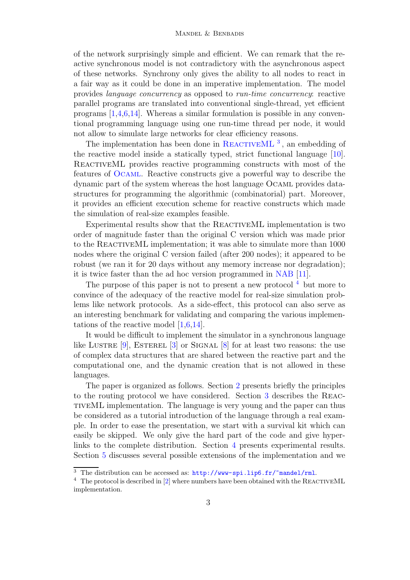of the network surprisingly simple and efficient. We can remark that the reactive synchronous model is not contradictory with the asynchronous aspect of these networks. Synchrony only gives the ability to all nodes to react in a fair way as it could be done in an imperative implementation. The model provides language concurrency as opposed to run-time concurrency: reactive parallel programs are translated into conventional single-thread, yet efficient programs  $[1,4,6,14]$  $[1,4,6,14]$  $[1,4,6,14]$  $[1,4,6,14]$ . Whereas a similar formulation is possible in any conventional programming language using one run-time thread per node, it would not allow to simulate large networks for clear efficiency reasons.

The implementation has been done in REACTIVEML<sup>[3](#page-2-0)</sup>, an embedding of the reactive model inside a statically typed, strict functional language [\[10\]](#page-17-3). REACTIVEML provides reactive programming constructs with most of the features of [Ocaml](http://caml.inria.fr). Reactive constructs give a powerful way to describe the dynamic part of the system whereas the host language Ocaml provides datastructures for programming the algorithmic (combinatorial) part. Moreover, it provides an efficient execution scheme for reactive constructs which made the simulation of real-size examples feasible.

Experimental results show that the REACTIVEML implementation is two order of magnitude faster than the original C version which was made prior to the REACTIVEML implementation; it was able to simulate more than 1000 nodes where the original C version failed (after 200 nodes); it appeared to be robust (we ran it for 20 days without any memory increase nor degradation); it is twice faster than the ad hoc version programmed in [NAB](http://nab.epfl.ch) [\[11\]](#page-17-4).

The purpose of this paper is not to present a new protocol  $4$  but more to convince of the adequacy of the reactive model for real-size simulation problems like network protocols. As a side-effect, this protocol can also serve as an interesting benchmark for validating and comparing the various implementations of the reactive model  $[1,6,14]$  $[1,6,14]$  $[1,6,14]$ .

It would be difficult to implement the simulator in a synchronous language like LUSTRE  $[9]$ , ESTEREL  $[3]$  or SIGNAL  $[8]$  for at least two reasons: the use of complex data structures that are shared between the reactive part and the computational one, and the dynamic creation that is not allowed in these languages.

The paper is organized as follows. Section [2](#page-3-0) presents briefly the principles to the routing protocol we have considered. Section [3](#page-4-0) describes the ReactiveML implementation. The language is very young and the paper can thus be considered as a tutorial introduction of the language through a real example. In order to ease the presentation, we start with a survival kit which can easily be skipped. We only give the hard part of the code and give hyperlinks to the complete distribution. Section [4](#page-13-0) presents experimental results. Section [5](#page-14-0) discusses several possible extensions of the implementation and we

<sup>&</sup>lt;sup>3</sup> The distribution can be accessed as: <http://www-spi.lip6.fr/~mandel/rml>.

<span id="page-2-1"></span><span id="page-2-0"></span> $^4\;$  The protocol is described in [\[2\]](#page-16-7) where numbers have been obtained with the REACTIVEML implementation.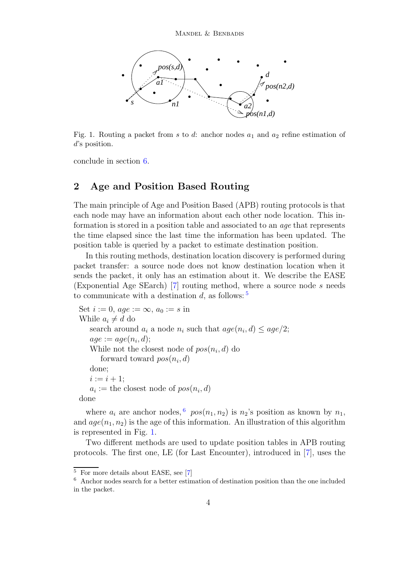

<span id="page-3-3"></span>Fig. 1. Routing a packet from s to d: anchor nodes  $a_1$  and  $a_2$  refine estimation of d's position.

<span id="page-3-0"></span>conclude in section [6.](#page-15-0)

# 2 Age and Position Based Routing

The main principle of Age and Position Based (APB) routing protocols is that each node may have an information about each other node location. This information is stored in a position table and associated to an age that represents the time elapsed since the last time the information has been updated. The position table is queried by a packet to estimate destination position.

In this routing methods, destination location discovery is performed during packet transfer: a source node does not know destination location when it sends the packet, it only has an estimation about it. We describe the EASE (Exponential Age SEarch) [\[7\]](#page-16-0) routing method, where a source node s needs to communicate with a destination d, as follows:  $5$ 

```
Set i := 0, age := \infty, a_0 := s in
While a_i \neq d do
   search around a_i a node n_i such that age(n_i, d) \leq age/2;
   age := age(n_i, d);While not the closest node of pos(n_i, d) do
      forward toward pos(n_i, d)done;
   i := i + 1:
   a_i := the closest node of pos(n_i, d)done
```
where  $a_i$  are anchor nodes,  $\binom{6}{1}$  $\binom{6}{1}$  $\binom{6}{1}$  pos $(n_1, n_2)$  is  $n_2$ 's position as known by  $n_1$ , and  $age(n_1, n_2)$  is the age of this information. An illustration of this algorithm is represented in Fig. [1.](#page-3-3)

Two different methods are used to update position tables in APB routing protocols. The first one, LE (for Last Encounter), introduced in [\[7\]](#page-16-0), uses the

<sup>&</sup>lt;sup>5</sup> For more details about EASE, see [\[7\]](#page-16-0)

<span id="page-3-2"></span><span id="page-3-1"></span> $6$  Anchor nodes search for a better estimation of destination position than the one included in the packet.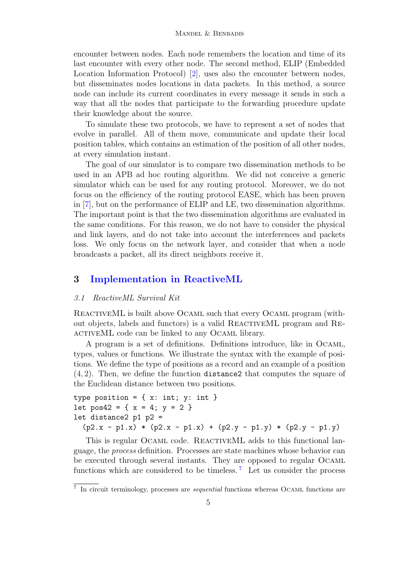encounter between nodes. Each node remembers the location and time of its last encounter with every other node. The second method, ELIP (Embedded Location Information Protocol) [\[2\]](#page-16-7), uses also the encounter between nodes, but disseminates nodes locations in data packets. In this method, a source node can include its current coordinates in every message it sends in such a way that all the nodes that participate to the forwarding procedure update their knowledge about the source.

To simulate these two protocols, we have to represent a set of nodes that evolve in parallel. All of them move, communicate and update their local position tables, which contains an estimation of the position of all other nodes, at every simulation instant.

The goal of our simulator is to compare two dissemination methods to be used in an APB ad hoc routing algorithm. We did not conceive a generic simulator which can be used for any routing protocol. Moreover, we do not focus on the efficiency of the routing protocol EASE, which has been proven in [\[7\]](#page-16-0), but on the performance of ELIP and LE, two dissemination algorithms. The important point is that the two dissemination algorithms are evaluated in the same conditions. For this reason, we do not have to consider the physical and link layers, and do not take into account the interferences and packets loss. We only focus on the network layer, and consider that when a node broadcasts a packet, all its direct neighbors receive it.

# <span id="page-4-0"></span>3 [Implementation](http://www-spi.lip6.fr/~mandel/rml/slap/) in ReactiveML

## 3.1 ReactiveML Survival Kit

ReactiveML is built above Ocaml such that every Ocaml program (without objects, labels and functors) is a valid ReactiveML program and Re-ACTIVEML code can be linked to any OCAML library.

A program is a set of definitions. Definitions introduce, like in Ocaml, types, values or functions. We illustrate the syntax with the example of positions. We define the type of positions as a record and an example of a position (4, 2). Then, we define the function distance2 that computes the square of the Euclidean distance between two positions.

```
type position = \{ x: int; y: int \}let pos42 = \{ x = 4; y = 2 \}let distance2 p1 p2 =
  (p2.x - p1.x) * (p2.x - p1.x) + (p2.y - p1.y) * (p2.y - p1.y)
```
This is regular OCAML code. REACTIVEML adds to this functional language, the process definition. Processes are state machines whose behavior can be executed through several instants. They are opposed to regular Ocaml functions which are considered to be timeless.<sup>[7](#page-4-1)</sup> Let us consider the process

<span id="page-4-1"></span><sup>&</sup>lt;sup>7</sup> In circuit terminology, processes are *sequential* functions whereas OCAML functions are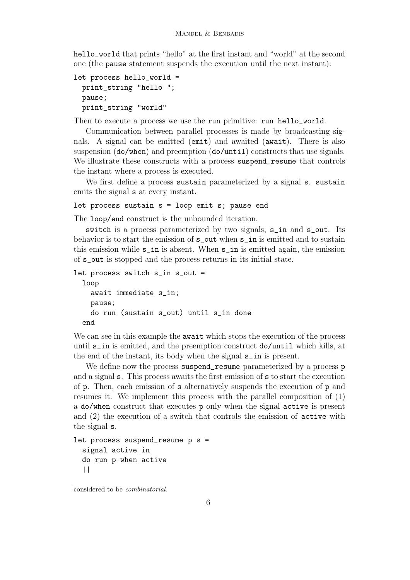hello\_world that prints "hello" at the first instant and "world" at the second one (the pause statement suspends the execution until the next instant):

```
let process hello_world =
 print_string "hello ";
 pause;
 print_string "world"
```
Then to execute a process we use the run primitive: run hello\_world.

Communication between parallel processes is made by broadcasting signals. A signal can be emitted (emit) and awaited (await). There is also suspension (do/when) and preemption (do/until) constructs that use signals. We illustrate these constructs with a process suspend\_resume that controls the instant where a process is executed.

We first define a process sustain parameterized by a signal s. sustain emits the signal s at every instant.

## let process sustain s = loop emit s; pause end

The loop/end construct is the unbounded iteration.

switch is a process parameterized by two signals, s\_in and s\_out. Its behavior is to start the emission of s\_out when s\_in is emitted and to sustain this emission while s\_in is absent. When s\_in is emitted again, the emission of s\_out is stopped and the process returns in its initial state.

```
let process switch s_in s_out =
 loop
    await immediate s_in;
    pause;
    do run (sustain s_out) until s_in done
  end
```
We can see in this example the **await** which stops the execution of the process until s\_in is emitted, and the preemption construct do/until which kills, at the end of the instant, its body when the signal s\_in is present.

We define now the process suspend resume parameterized by a process p and a signal s. This process awaits the first emission of s to start the execution of p. Then, each emission of s alternatively suspends the execution of p and resumes it. We implement this process with the parallel composition of (1) a do/when construct that executes p only when the signal active is present and (2) the execution of a switch that controls the emission of active with the signal s.

```
let process suspend_resume p s =
  signal active in
  do run p when active
  | \ |
```
considered to be combinatorial.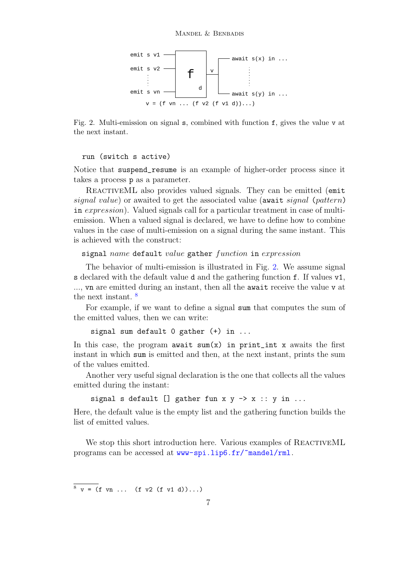

<span id="page-6-0"></span>Fig. 2. Multi-emission on signal s, combined with function f, gives the value v at the next instant.

## run (switch s active)

Notice that suspend\_resume is an example of higher-order process since it takes a process p as a parameter.

REACTIVEML also provides valued signals. They can be emitted (emit signal value) or awaited to get the associated value (await signal (pattern) in *expression*). Valued signals call for a particular treatment in case of multiemission. When a valued signal is declared, we have to define how to combine values in the case of multi-emission on a signal during the same instant. This is achieved with the construct:

signal name default value gather function in expression

The behavior of multi-emission is illustrated in Fig. [2.](#page-6-0) We assume signal s declared with the default value d and the gathering function f. If values v1, ..., vn are emitted during an instant, then all the await receive the value v at the next instant. [8](#page-6-1)

For example, if we want to define a signal sum that computes the sum of the emitted values, then we can write:

signal sum default 0 gather (+) in ...

In this case, the program await  $sum(x)$  in print\_int x awaits the first instant in which sum is emitted and then, at the next instant, prints the sum of the values emitted.

Another very useful signal declaration is the one that collects all the values emitted during the instant:

```
signal s default [] gather fun x y \rightarrow x :: y in ...
```
Here, the default value is the empty list and the gathering function builds the list of emitted values.

We stop this short introduction here. Various examples of REACTIVEML programs can be accessed at <www-spi.lip6.fr/~mandel/rml>.

<span id="page-6-1"></span> $8 \text{ y} = (f \text{ yn} \dots \text{ (f y2 (f y1 d))...)}$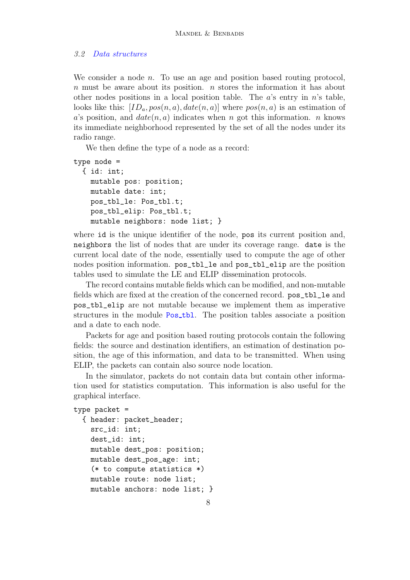## 3.2 Data [structures](http://www-spi.lip6.fr/~mandel/rml/slap/simulator/global.rml.html)

We consider a node  $n$ . To use an age and position based routing protocol,  $n$  must be aware about its position.  $n$  stores the information it has about other nodes positions in a local position table. The  $a$ 's entry in  $n$ 's table, looks like this:  $[ID_a, pos(n, a), date(n, a)]$  where  $pos(n, a)$  is an estimation of a's position, and  $date(n, a)$  indicates when n got this information. n knows its immediate neighborhood represented by the set of all the nodes under its radio range.

We then define the type of a node as a record:

```
type node =
  { id: int;
   mutable pos: position;
   mutable date: int;
    pos_tbl_le: Pos_tbl.t;
    pos_tbl_elip: Pos_tbl.t;
   mutable neighbors: node list; }
```
where id is the unique identifier of the node, positis current position and, neighbors the list of nodes that are under its coverage range. date is the current local date of the node, essentially used to compute the age of other nodes position information. pos\_tbl\_le and pos\_tbl\_elip are the position tables used to simulate the LE and ELIP dissemination protocols.

The record contains mutable fields which can be modified, and non-mutable fields which are fixed at the creation of the concerned record. pos\_tbl\_le and pos\_tbl\_elip are not mutable because we implement them as imperative structures in the module [Pos](http://www-spi.lip6.fr/~mandel/rml/slap/simulator/pos_tbl.rmli.html)\_tbl. The position tables associate a position and a date to each node.

Packets for age and position based routing protocols contain the following fields: the source and destination identifiers, an estimation of destination position, the age of this information, and data to be transmitted. When using ELIP, the packets can contain also source node location.

In the simulator, packets do not contain data but contain other information used for statistics computation. This information is also useful for the graphical interface.

```
type packet =
  { header: packet_header;
    src_id: int;
    dest_id: int;
    mutable dest_pos: position;
    mutable dest_pos_age: int;
    (* to compute statistics *)
    mutable route: node list;
    mutable anchors: node list; }
```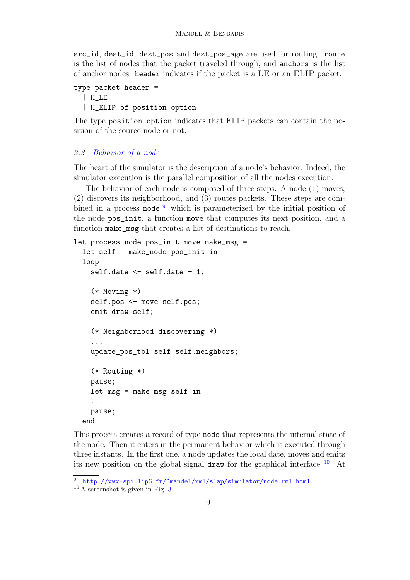src\_id, dest\_id, dest\_pos and dest\_pos\_age are used for routing. route is the list of nodes that the packet traveled through, and anchors is the list of anchor nodes. header indicates if the packet is a LE or an ELIP packet.

```
type packet_header =
 | H_LE
  | H_ELIP of position option
```
The type position option indicates that ELIP packets can contain the position of the source node or not.

## 3.3 [Behavior](http://www-spi.lip6.fr/~mandel/rml/slap/simulator/node.rml.html) of a node

The heart of the simulator is the description of a node's behavior. Indeed, the simulator execution is the parallel composition of all the nodes execution.

The behavior of each node is composed of three steps. A node (1) moves, (2) discovers its neighborhood, and (3) routes packets. These steps are combined in a process node  $9$  which is parameterized by the initial position of the node pos\_init, a function move that computes its next position, and a function make\_msg that creates a list of destinations to reach.

```
let process node pos_init move make_msg =
  let self = make_node pos_init in
  loop
    self.date <- self.date + 1;
    (* Moving *)
    self.pos <- move self.pos;
    emit draw self;
    (* Neighborhood discovering *)
    ...
    update_pos_tbl self self.neighbors;
    (* Routing *)
    pause;
    let msg = make_msg self in
    ...
    pause;
  end
```
This process creates a record of type node that represents the internal state of the node. Then it enters in the permanent behavior which is executed through three instants. In the first one, a node updates the local date, moves and emits its new position on the global signal draw for the graphical interface.  $10$  At

<http://www-spi.lip6.fr/~mandel/rml/slap/simulator/node.rml.html>

<span id="page-8-1"></span><span id="page-8-0"></span> $10 \text{ A}$  screenshot is given in Fig. [3](#page-9-0)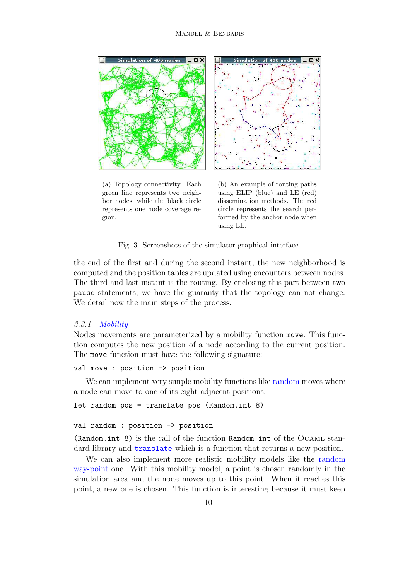

(a) Topology connectivity. Each green line represents two neighbor nodes, while the black circle represents one node coverage region.

(b) An example of routing paths using ELIP (blue) and LE (red) dissemination methods. The red circle represents the search performed by the anchor node when using LE.

Fig. 3. Screenshots of the simulator graphical interface.

<span id="page-9-0"></span>the end of the first and during the second instant, the new neighborhood is computed and the position tables are updated using encounters between nodes. The third and last instant is the routing. By enclosing this part between two pause statements, we have the guaranty that the topology can not change. We detail now the main steps of the process.

## 3.3.1 [Mobility](http://www-spi.lip6.fr/~mandel/rml/slap/simulator/move.rml.html)

Nodes movements are parameterized by a mobility function move. This function computes the new position of a node according to the current position. The move function must have the following signature:

## val move : position -> position

We can implement very simple mobility functions like [random](http://www-spi.lip6.fr/~mandel/rml/slap/simulator/move.rml.html#random) moves where a node can move to one of its eight adjacent positions.

```
let random pos = translate pos (Random.int 8)
```

```
val random : position -> position
```
(Random.int 8) is the call of the function Random.int of the Ocaml standard library and [translate](http://www-spi.lip6.fr/~mandel/rml/slap/simulator/move.rml.html#translate) which is a function that returns a new position.

We can also implement more realistic mobility models like the [random](http://www-spi.lip6.fr/~mandel/rml/slap/simulator/move.rml.html#random_waypoint) [way-point](http://www-spi.lip6.fr/~mandel/rml/slap/simulator/move.rml.html#random_waypoint) one. With this mobility model, a point is chosen randomly in the simulation area and the node moves up to this point. When it reaches this point, a new one is chosen. This function is interesting because it must keep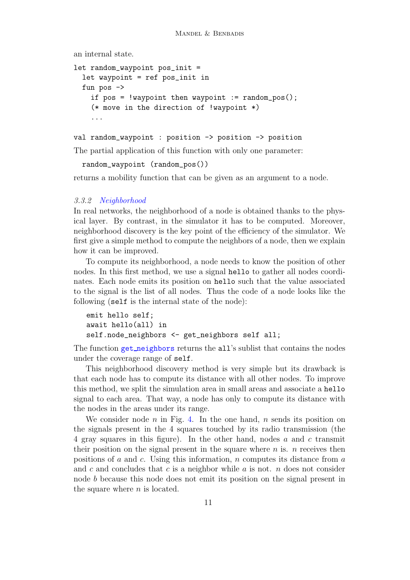an internal state.

```
let random_waypoint pos_init =
  let waypoint = ref pos_init in
  fun pos \rightarrowif pos = !waypoint then waypoint := random_pos();
    (* move in the direction of !waypoint *)
    ...
```

```
val random_waypoint : position -> position -> position
```
The partial application of this function with only one parameter:

```
random_waypoint (random_pos())
```
returns a mobility function that can be given as an argument to a node.

## 3.3.2 [Neighborhood](http://www-spi.lip6.fr/~mandel/rml/slap/simulator/node.rml.html)

In real networks, the neighborhood of a node is obtained thanks to the physical layer. By contrast, in the simulator it has to be computed. Moreover, neighborhood discovery is the key point of the efficiency of the simulator. We first give a simple method to compute the neighbors of a node, then we explain how it can be improved.

To compute its neighborhood, a node needs to know the position of other nodes. In this first method, we use a signal hello to gather all nodes coordinates. Each node emits its position on hello such that the value associated to the signal is the list of all nodes. Thus the code of a node looks like the following (self is the internal state of the node):

```
emit hello self;
await hello(all) in
self.node_neighbors <- get_neighbors self all;
```
The function get [neighbors](http://www-spi.lip6.fr/~mandel/rml/slap/simulator/node.rml.html#get_neighbors) returns the all's sublist that contains the nodes under the coverage range of self.

This neighborhood discovery method is very simple but its drawback is that each node has to compute its distance with all other nodes. To improve this method, we split the simulation area in small areas and associate a hello signal to each area. That way, a node has only to compute its distance with the nodes in the areas under its range.

We consider node n in Fig. [4.](#page-11-0) In the one hand, n sends its position on the signals present in the 4 squares touched by its radio transmission (the 4 gray squares in this figure). In the other hand, nodes a and c transmit their position on the signal present in the square where  $n$  is.  $n$  receives then positions of a and c. Using this information, n computes its distance from  $a$ and c and concludes that c is a neighbor while a is not. n does not consider node b because this node does not emit its position on the signal present in the square where  $n$  is located.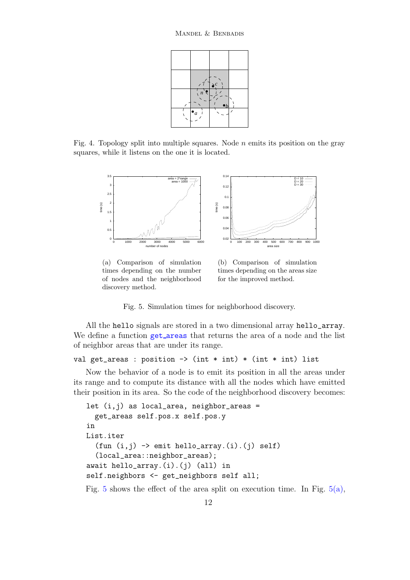

<span id="page-11-2"></span><span id="page-11-0"></span>Fig. 4. Topology split into multiple squares. Node  $n$  emits its position on the gray squares, while it listens on the one it is located.



(a) Comparison of simulation times depending on the number of nodes and the neighborhood discovery method.

<span id="page-11-3"></span>(b) Comparison of simulation times depending on the areas size for the improved method.

<span id="page-11-1"></span>Fig. 5. Simulation times for neighborhood discovery.

All the hello signals are stored in a two dimensional array hello\_array. We define a function get [areas](http://www-spi.lip6.fr/~mandel/rml/slap/simulator/area.rml.html#get_areas) that returns the area of a node and the list of neighbor areas that are under its range.

```
val get_areas : position \rightarrow (int * int) * (int * int) list
```
Now the behavior of a node is to emit its position in all the areas under its range and to compute its distance with all the nodes which have emitted their position in its area. So the code of the neighborhood discovery becomes:

```
let (i, j) as local_area, neighbor_areas =
 get_areas self.pos.x self.pos.y
in
List.iter
  (fun (i,j) \rightarrow emit hello_array.(i).(j) self)(local_area::neighbor_areas);
await hello_array.(i).(j) (all) in
self.neighbors <- get_neighbors self all;
```
Fig. [5](#page-11-1) shows the effect of the area split on execution time. In Fig.  $5(a)$ ,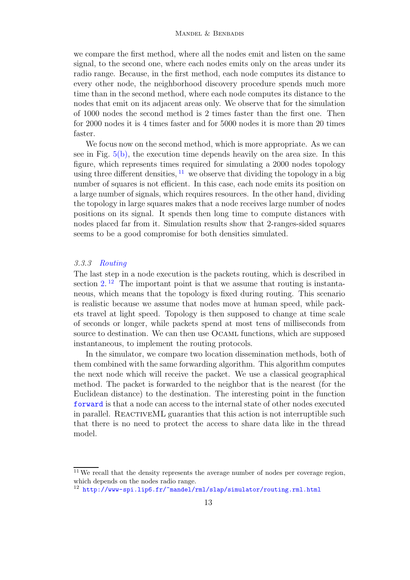we compare the first method, where all the nodes emit and listen on the same signal, to the second one, where each nodes emits only on the areas under its radio range. Because, in the first method, each node computes its distance to every other node, the neighborhood discovery procedure spends much more time than in the second method, where each node computes its distance to the nodes that emit on its adjacent areas only. We observe that for the simulation of 1000 nodes the second method is 2 times faster than the first one. Then for 2000 nodes it is 4 times faster and for 5000 nodes it is more than 20 times faster.

We focus now on the second method, which is more appropriate. As we can see in Fig.  $5(b)$ , the execution time depends heavily on the area size. In this figure, which represents times required for simulating a 2000 nodes topology using three different densities,  $11$  we observe that dividing the topology in a big number of squares is not efficient. In this case, each node emits its position on a large number of signals, which requires resources. In the other hand, dividing the topology in large squares makes that a node receives large number of nodes positions on its signal. It spends then long time to compute distances with nodes placed far from it. Simulation results show that 2-ranges-sided squares seems to be a good compromise for both densities simulated.

## 3.3.3 [Routing](http://www-spi.lip6.fr/~mandel/rml/slap/simulator/routing.rml.html)

The last step in a node execution is the packets routing, which is described in section  $2^{12}$  $2^{12}$  $2^{12}$ . The important point is that we assume that routing is instantaneous, which means that the topology is fixed during routing. This scenario is realistic because we assume that nodes move at human speed, while packets travel at light speed. Topology is then supposed to change at time scale of seconds or longer, while packets spend at most tens of milliseconds from source to destination. We can then use Ocaml functions, which are supposed instantaneous, to implement the routing protocols.

In the simulator, we compare two location dissemination methods, both of them combined with the same forwarding algorithm. This algorithm computes the next node which will receive the packet. We use a classical geographical method. The packet is forwarded to the neighbor that is the nearest (for the Euclidean distance) to the destination. The interesting point in the function [forward](http://www-spi.lip6.fr/~mandel/rml/slap/simulator/routing.rml.html#forward) is that a node can access to the internal state of other nodes executed in parallel. ReactiveML guaranties that this action is not interruptible such that there is no need to protect the access to share data like in the thread model.

<span id="page-12-0"></span> $11$  We recall that the density represents the average number of nodes per coverage region, which depends on the nodes radio range.

<span id="page-12-1"></span><sup>12</sup> <http://www-spi.lip6.fr/~mandel/rml/slap/simulator/routing.rml.html>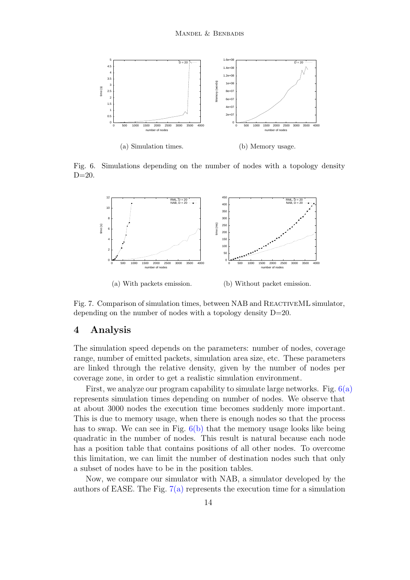<span id="page-13-1"></span>

<span id="page-13-2"></span>(b) Memory usage.

<span id="page-13-3"></span>Fig. 6. Simulations depending on the number of nodes with a topology density  $D=20$ .



<span id="page-13-4"></span>Fig. 7. Comparison of simulation times, between NAB and ReactiveML simulator, depending on the number of nodes with a topology density D=20.

# <span id="page-13-0"></span>4 Analysis

The simulation speed depends on the parameters: number of nodes, coverage range, number of emitted packets, simulation area size, etc. These parameters are linked through the relative density, given by the number of nodes per coverage zone, in order to get a realistic simulation environment.

First, we analyze our program capability to simulate large networks. Fig.  $6(a)$ represents simulation times depending on number of nodes. We observe that at about 3000 nodes the execution time becomes suddenly more important. This is due to memory usage, when there is enough nodes so that the process has to swap. We can see in Fig. [6\(b\)](#page-13-2) that the memory usage looks like being quadratic in the number of nodes. This result is natural because each node has a position table that contains positions of all other nodes. To overcome this limitation, we can limit the number of destination nodes such that only a subset of nodes have to be in the position tables.

Now, we compare our simulator with NAB, a simulator developed by the authors of EASE. The Fig.  $7(a)$  represents the execution time for a simulation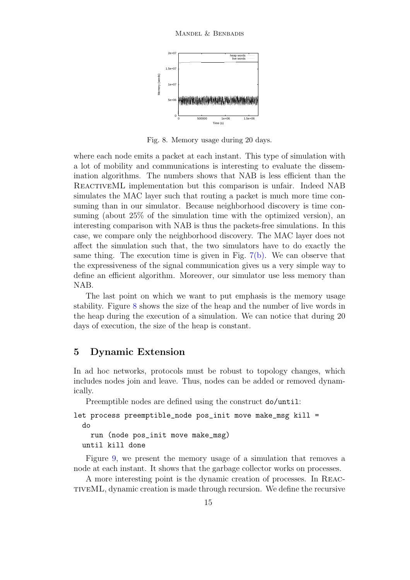

<span id="page-14-1"></span>Fig. 8. Memory usage during 20 days.

where each node emits a packet at each instant. This type of simulation with a lot of mobility and communications is interesting to evaluate the dissemination algorithms. The numbers shows that NAB is less efficient than the REACTIVEML implementation but this comparison is unfair. Indeed NAB simulates the MAC layer such that routing a packet is much more time consuming than in our simulator. Because neighborhood discovery is time consuming (about 25% of the simulation time with the optimized version), an interesting comparison with NAB is thus the packets-free simulations. In this case, we compare only the neighborhood discovery. The MAC layer does not affect the simulation such that, the two simulators have to do exactly the same thing. The execution time is given in Fig.  $7(b)$ . We can observe that the expressiveness of the signal communication gives us a very simple way to define an efficient algorithm. Moreover, our simulator use less memory than NAB.

The last point on which we want to put emphasis is the memory usage stability. Figure [8](#page-14-1) shows the size of the heap and the number of live words in the heap during the execution of a simulation. We can notice that during 20 days of execution, the size of the heap is constant.

# <span id="page-14-0"></span>5 Dynamic Extension

In ad hoc networks, protocols must be robust to topology changes, which includes nodes join and leave. Thus, nodes can be added or removed dynamically.

Preemptible nodes are defined using the construct do/until:

```
let process preemptible_node pos_init move make_msg kill =
  do
```
run (node pos\_init move make\_msg) until kill done

Figure [9,](#page-15-1) we present the memory usage of a simulation that removes a node at each instant. It shows that the garbage collector works on processes.

A more interesting point is the dynamic creation of processes. In ReactiveML, dynamic creation is made through recursion. We define the recursive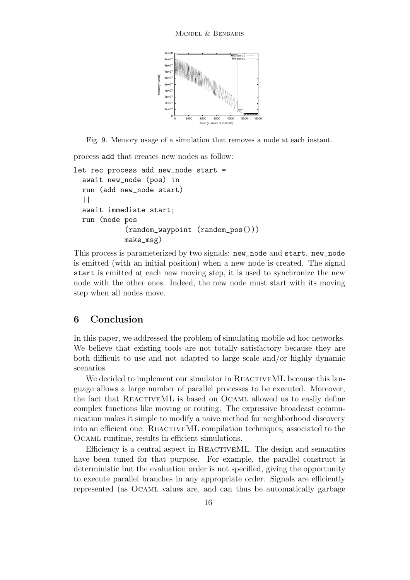

Fig. 9. Memory usage of a simulation that removes a node at each instant.

<span id="page-15-1"></span>process add that creates new nodes as follow:

```
let rec process add new_node start =
  await new_node (pos) in
  run (add new_node start)
  | \ |await immediate start;
  run (node pos
            (random_waypoint (random_pos()))
            make_msg)
```
This process is parameterized by two signals: new\_node and start. new\_node is emitted (with an initial position) when a new node is created. The signal start is emitted at each new moving step, it is used to synchronize the new node with the other ones. Indeed, the new node must start with its moving step when all nodes move.

# <span id="page-15-0"></span>6 Conclusion

In this paper, we addressed the problem of simulating mobile ad hoc networks. We believe that existing tools are not totally satisfactory because they are both difficult to use and not adapted to large scale and/or highly dynamic scenarios.

We decided to implement our simulator in REACTIVEML because this language allows a large number of parallel processes to be executed. Moreover, the fact that ReactiveML is based on Ocaml allowed us to easily define complex functions like moving or routing. The expressive broadcast communication makes it simple to modify a naive method for neighborhood discovery into an efficient one. ReactiveML compilation techniques, associated to the Ocaml runtime, results in efficient simulations.

Efficiency is a central aspect in REACTIVEML. The design and semantics have been tuned for that purpose. For example, the parallel construct is deterministic but the evaluation order is not specified, giving the opportunity to execute parallel branches in any appropriate order. Signals are efficiently represented (as Ocaml values are, and can thus be automatically garbage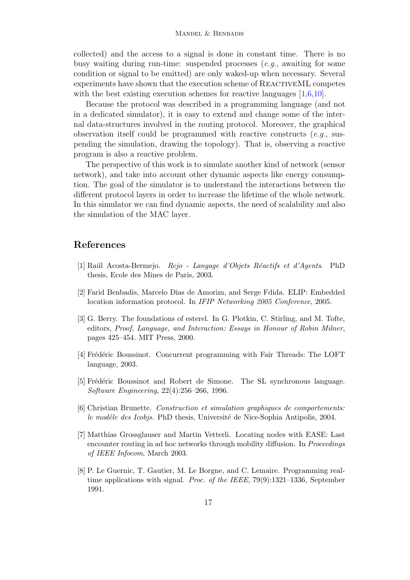collected) and the access to a signal is done in constant time. There is no busy waiting during run-time: suspended processes (e.g., awaiting for some condition or signal to be emitted) are only waked-up when necessary. Several experiments have shown that the execution scheme of REACTIVEML competes with the best existing execution schemes for reactive languages  $[1,6,10]$  $[1,6,10]$  $[1,6,10]$ .

Because the protocol was described in a programming language (and not in a dedicated simulator), it is easy to extend and change some of the internal data-structures involved in the routing protocol. Moreover, the graphical observation itself could be programmed with reactive constructs  $(e.g.,$  suspending the simulation, drawing the topology). That is, observing a reactive program is also a reactive problem.

The perspective of this work is to simulate another kind of network (sensor network), and take into account other dynamic aspects like energy consumption. The goal of the simulator is to understand the interactions between the different protocol layers in order to increase the lifetime of the whole network. In this simulator we can find dynamic aspects, the need of scalability and also the simulation of the MAC layer.

# <span id="page-16-2"></span>References

- <span id="page-16-7"></span>[1] Raul Acosta-Bermejo. Rejo - Langage d'Objets Réactifs et d'Agents. PhD thesis, Ecole des Mines de Paris, 2003.
- <span id="page-16-5"></span>[2] Farid Benbadis, Marcelo Dias de Amorim, and Serge Fdida. ELIP: Embedded location information protocol. In IFIP Networking 2005 Conference, 2005.
- [3] G. Berry. The foundations of esterel. In G. Plotkin, C. Stirling, and M. Tofte, editors, Proof, Language, and Interaction: Essays in Honour of Robin Milner, pages 425–454. MIT Press, 2000.
- <span id="page-16-3"></span><span id="page-16-1"></span>[4] Frédéric Boussinot. Concurrent programming with Fair Threads: The LOFT language, 2003.
- <span id="page-16-4"></span>[5] Frédéric Boussinot and Robert de Simone. The SL synchronous language. Software Engineering, 22(4):256–266, 1996.
- [6] Christian Brunette. Construction et simulation graphiques de comportements: le modèle des Icobjs. PhD thesis, Université de Nice-Sophia Antipolis, 2004.
- <span id="page-16-0"></span>[7] Matthias Grossglauser and Martin Vetterli. Locating nodes with EASE: Last encounter routing in ad hoc networks through mobility diffusion. In *Proceedings* of IEEE Infocom, March 2003.
- <span id="page-16-6"></span>[8] P. Le Guernic, T. Gautier, M. Le Borgne, and C. Lemaire. Programming realtime applications with signal. *Proc. of the IEEE*,  $79(9):1321-1336$ , September 1991.